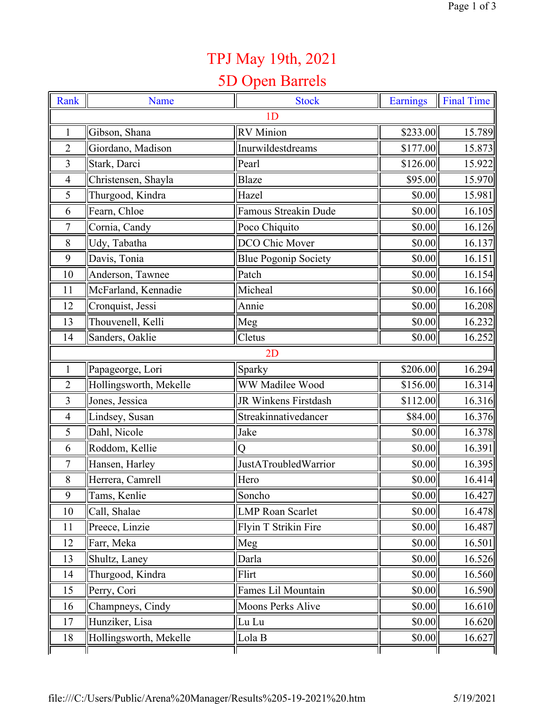## TPJ May 19th, 2021

## 5D Open Barrels

| Rank           | Name                   | <b>Stock</b>                | <b>Earnings</b> | <b>Final Time</b> |  |  |  |
|----------------|------------------------|-----------------------------|-----------------|-------------------|--|--|--|
| 1 <sub>D</sub> |                        |                             |                 |                   |  |  |  |
| $\mathbf{1}$   | Gibson, Shana          | <b>RV</b> Minion            | \$233.00        | 15.789            |  |  |  |
| $\overline{2}$ | Giordano, Madison      | Inurwildestdreams           | \$177.00        | 15.873            |  |  |  |
| 3              | Stark, Darci           | Pearl                       | \$126.00        | 15.922            |  |  |  |
| $\overline{4}$ | Christensen, Shayla    | <b>Blaze</b>                | \$95.00         | 15.970            |  |  |  |
| 5              | Thurgood, Kindra       | Hazel                       | \$0.00          | 15.981            |  |  |  |
| 6              | Fearn, Chloe           | Famous Streakin Dude        | \$0.00          | 16.105            |  |  |  |
| 7              | Cornia, Candy          | Poco Chiquito               | \$0.00          | 16.126            |  |  |  |
| 8              | Udy, Tabatha           | DCO Chic Mover              | \$0.00          | 16.137            |  |  |  |
| 9              | Davis, Tonia           | <b>Blue Pogonip Society</b> | \$0.00          | 16.151            |  |  |  |
| 10             | Anderson, Tawnee       | Patch                       | \$0.00          | 16.154            |  |  |  |
| 11             | McFarland, Kennadie    | Micheal                     | \$0.00          | 16.166            |  |  |  |
| 12             | Cronquist, Jessi       | Annie                       | \$0.00          | 16.208            |  |  |  |
| 13             | Thouvenell, Kelli      | Meg                         | \$0.00          | 16.232            |  |  |  |
| 14             | Sanders, Oaklie        | Cletus                      | \$0.00          | 16.252            |  |  |  |
|                |                        | 2D                          |                 |                   |  |  |  |
| $\mathbf{1}$   | Papageorge, Lori       | Sparky                      | \$206.00        | 16.294            |  |  |  |
| $\overline{2}$ | Hollingsworth, Mekelle | WW Madilee Wood             | \$156.00        | 16.314            |  |  |  |
| 3              | Jones, Jessica         | JR Winkens Firstdash        | \$112.00        | 16.316            |  |  |  |
| $\overline{4}$ | Lindsey, Susan         | Streakinnativedancer        | \$84.00         | 16.376            |  |  |  |
| 5              | Dahl, Nicole           | Jake                        | \$0.00          | 16.378            |  |  |  |
| 6              | Roddom, Kellie         | $\overline{O}$              | \$0.00          | 16.391            |  |  |  |
| $\overline{7}$ | Hansen, Harley         | JustATroubledWarrior        | \$0.00          | 16.395            |  |  |  |
| 8              | Herrera, Camrell       | Hero                        | \$0.00          | 16.414            |  |  |  |
| 9              | Tams, Kenlie           | Soncho                      | \$0.00          | 16.427            |  |  |  |
| 10             | Call, Shalae           | <b>LMP Roan Scarlet</b>     | \$0.00          | 16.478            |  |  |  |
| 11             | Preece, Linzie         | Flyin T Strikin Fire        | \$0.00          | 16.487            |  |  |  |
| 12             | Farr, Meka             | Meg                         | \$0.00          | 16.501            |  |  |  |
| 13             | Shultz, Laney          | Darla                       | \$0.00          | 16.526            |  |  |  |
| 14             | Thurgood, Kindra       | Flirt                       | \$0.00          | 16.560            |  |  |  |
| 15             | Perry, Cori            | Fames Lil Mountain          | \$0.00          | 16.590            |  |  |  |
| 16             | Champneys, Cindy       | <b>Moons Perks Alive</b>    | \$0.00          | 16.610            |  |  |  |
| 17             | Hunziker, Lisa         | Lu Lu                       | \$0.00          | 16.620            |  |  |  |
| 18             | Hollingsworth, Mekelle | Lola B                      | \$0.00          | 16.627            |  |  |  |
|                |                        |                             |                 |                   |  |  |  |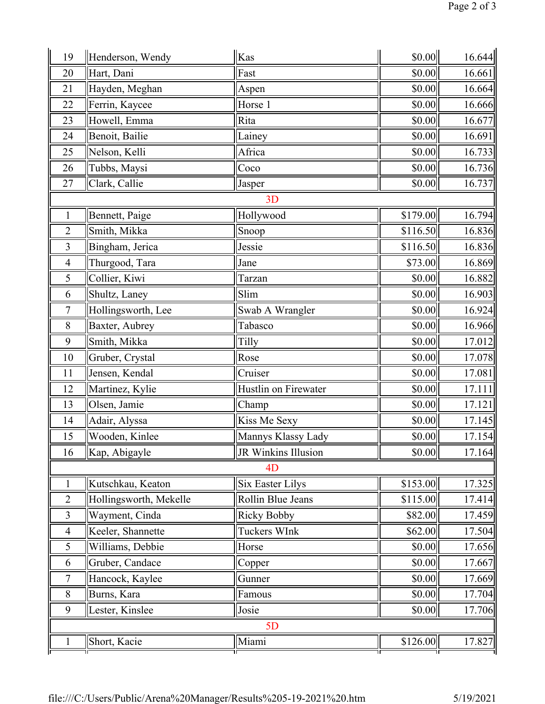| 19             | Henderson, Wendy       | Kas                      | \$0.00   | 16.644 |  |  |
|----------------|------------------------|--------------------------|----------|--------|--|--|
| 20             | Hart, Dani             | Fast                     | \$0.00   | 16.661 |  |  |
| 21             | Hayden, Meghan         | Aspen                    | \$0.00   | 16.664 |  |  |
| 22             | Ferrin, Kaycee         | Horse 1                  | \$0.00   | 16.666 |  |  |
| 23             | Howell, Emma           | Rita                     | \$0.00   | 16.677 |  |  |
| 24             | Benoit, Bailie         | Lainey                   | \$0.00   | 16.691 |  |  |
| 25             | Nelson, Kelli          | Africa                   | \$0.00   | 16.733 |  |  |
| 26             | Tubbs, Maysi           | Coco                     | \$0.00   | 16.736 |  |  |
| 27             | Clark, Callie          | Jasper                   | \$0.00   | 16.737 |  |  |
|                |                        | 3D                       |          |        |  |  |
| $\mathbf{1}$   | Bennett, Paige         | Hollywood                | \$179.00 | 16.794 |  |  |
| $\overline{2}$ | Smith, Mikka           | Snoop                    | \$116.50 | 16.836 |  |  |
| 3              | Bingham, Jerica        | Jessie                   | \$116.50 | 16.836 |  |  |
| $\overline{4}$ | Thurgood, Tara         | Jane                     | \$73.00  | 16.869 |  |  |
| 5              | Collier, Kiwi          | Tarzan                   | \$0.00   | 16.882 |  |  |
| 6              | Shultz, Laney          | Slim                     | \$0.00   | 16.903 |  |  |
| 7              | Hollingsworth, Lee     | Swab A Wrangler          | \$0.00   | 16.924 |  |  |
| $8\,$          | Baxter, Aubrey         | Tabasco                  | \$0.00   | 16.966 |  |  |
| 9              | Smith, Mikka           | Tilly                    | \$0.00   | 17.012 |  |  |
| 10             | Gruber, Crystal        | Rose                     | \$0.00   | 17.078 |  |  |
| 11             | Jensen, Kendal         | Cruiser                  | \$0.00   | 17.081 |  |  |
| 12             | Martinez, Kylie        | Hustlin on Firewater     | \$0.00   | 17.111 |  |  |
| 13             | Olsen, Jamie           | Champ                    | \$0.00   | 17.121 |  |  |
| 14             | Adair, Alyssa          | Kiss Me Sexy             | \$0.00   | 17.145 |  |  |
| 15             | Wooden, Kinlee         | Mannys Klassy Lady       | \$0.00   | 17.154 |  |  |
| 16             | Kap, Abigayle          | JR Winkins Illusion      | \$0.00   | 17.164 |  |  |
|                |                        | 4 <sub>D</sub>           |          |        |  |  |
| $\mathbf{1}$   | Kutschkau, Keaton      | <b>Six Easter Lilys</b>  | \$153.00 | 17.325 |  |  |
| $\overline{2}$ | Hollingsworth, Mekelle | <b>Rollin Blue Jeans</b> | \$115.00 | 17.414 |  |  |
| 3              | Wayment, Cinda         | <b>Ricky Bobby</b>       | \$82.00  | 17.459 |  |  |
| $\overline{4}$ | Keeler, Shannette      | Tuckers WInk             | \$62.00  | 17.504 |  |  |
| 5              | Williams, Debbie       | Horse                    | \$0.00   | 17.656 |  |  |
| 6              | Gruber, Candace        | Copper                   | \$0.00   | 17.667 |  |  |
| $\tau$         | Hancock, Kaylee        | Gunner                   | \$0.00   | 17.669 |  |  |
| 8              | Burns, Kara            | Famous                   | \$0.00   | 17.704 |  |  |
| 9              | Lester, Kinslee        | Josie                    | \$0.00   | 17.706 |  |  |
| 5D             |                        |                          |          |        |  |  |
|                | Short, Kacie           | Miami                    | \$126.00 | 17.827 |  |  |